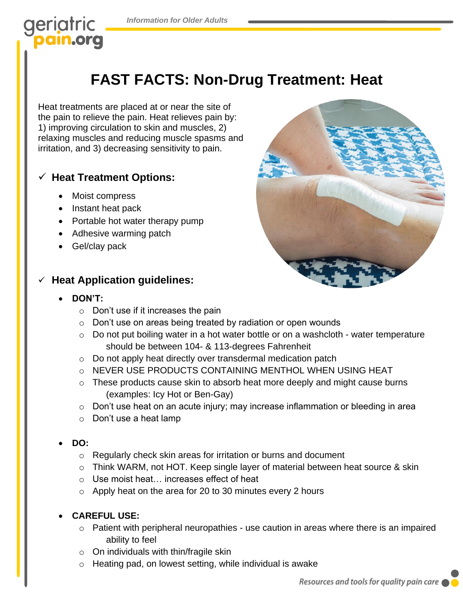# geriatric

## **FAST FACTS: Non-Drug Treatment: Heat**

Heat treatments are placed at or near the site of the pain to relieve the pain. Heat relieves pain by: 1) improving circulation to skin and muscles, 2) relaxing muscles and reducing muscle spasms and irritation, and 3) decreasing sensitivity to pain.

#### ✓ **Heat Treatment Options:**

- Moist compress
- Instant heat pack
- Portable hot water therapy pump
- Adhesive warming patch
- Gel/clay pack

#### **Heat Application guidelines:**

- **DON'T:** 
	- $\circ$  Don't use if it increases the pain
	- o Don't use on areas being treated by radiation or open wounds
	- $\circ$  Do not put boiling water in a hot water bottle or on a washcloth water temperature should be between 104- & 113-degrees Fahrenheit
	- o Do not apply heat directly over transdermal medication patch
	- o NEVER USE PRODUCTS CONTAINING MENTHOL WHEN USING HEAT
	- o These products cause skin to absorb heat more deeply and might cause burns (examples: Icy Hot or Ben-Gay)
	- o Don't use heat on an acute injury; may increase inflammation or bleeding in area
	- o Don't use a heat lamp
- **DO:** 
	- o Regularly check skin areas for irritation or burns and document
	- o Think WARM, not HOT. Keep single layer of material between heat source & skin
	- o Use moist heat… increases effect of heat
	- o Apply heat on the area for 20 to 30 minutes every 2 hours

#### • **CAREFUL USE:**

- o Patient with peripheral neuropathies use caution in areas where there is an impaired ability to feel
- $\circ$  On individuals with thin/fragile skin
- o Heating pad, on lowest setting, while individual is awake